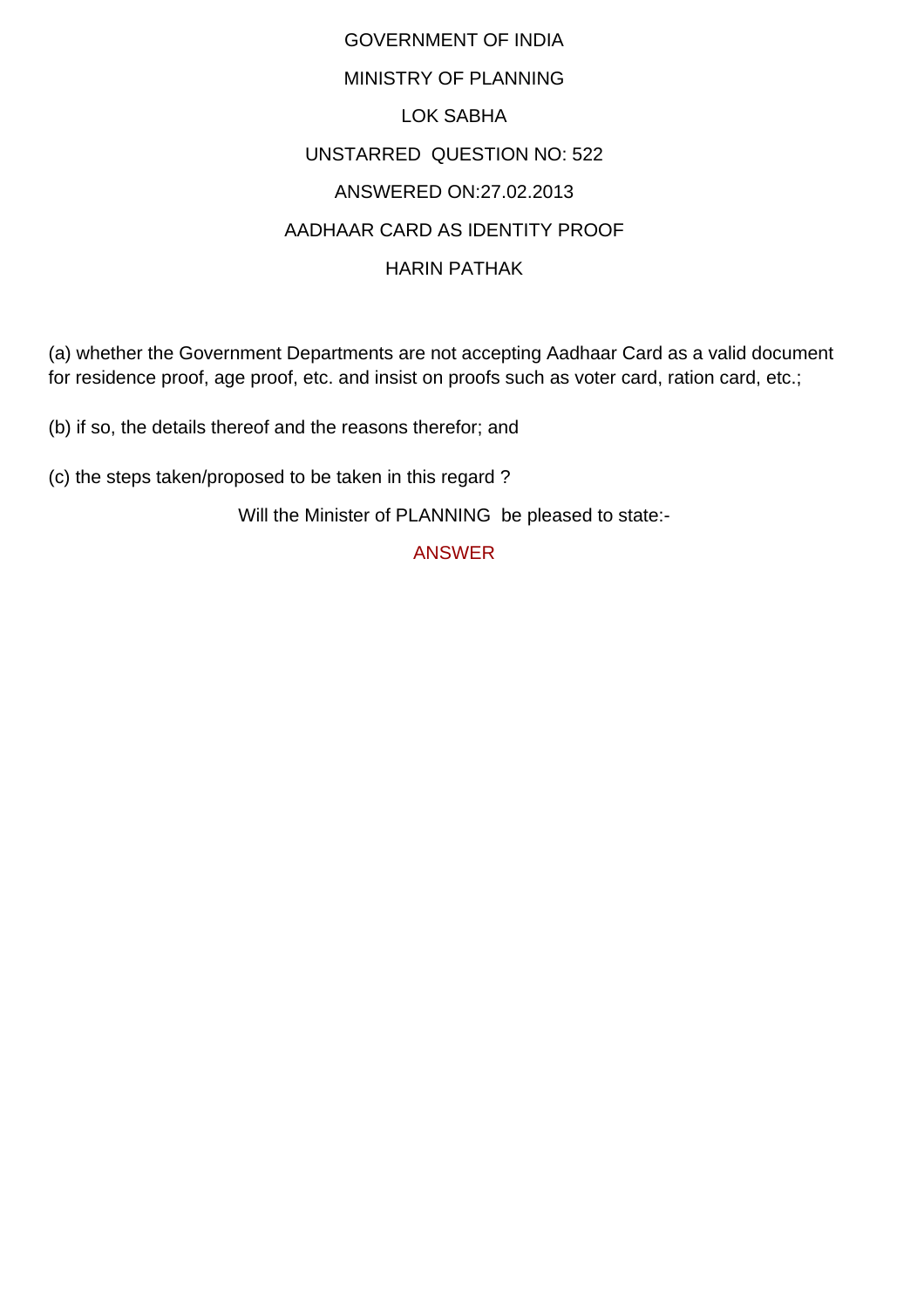## GOVERNMENT OF INDIA MINISTRY OF PLANNING LOK SABHA UNSTARRED QUESTION NO: 522 ANSWERED ON:27.02.2013 AADHAAR CARD AS IDENTITY PROOF HARIN PATHAK

(a) whether the Government Departments are not accepting Aadhaar Card as a valid document for residence proof, age proof, etc. and insist on proofs such as voter card, ration card, etc.;

(b) if so, the details thereof and the reasons therefor; and

(c) the steps taken/proposed to be taken in this regard ?

Will the Minister of PLANNING be pleased to state:-

ANSWER